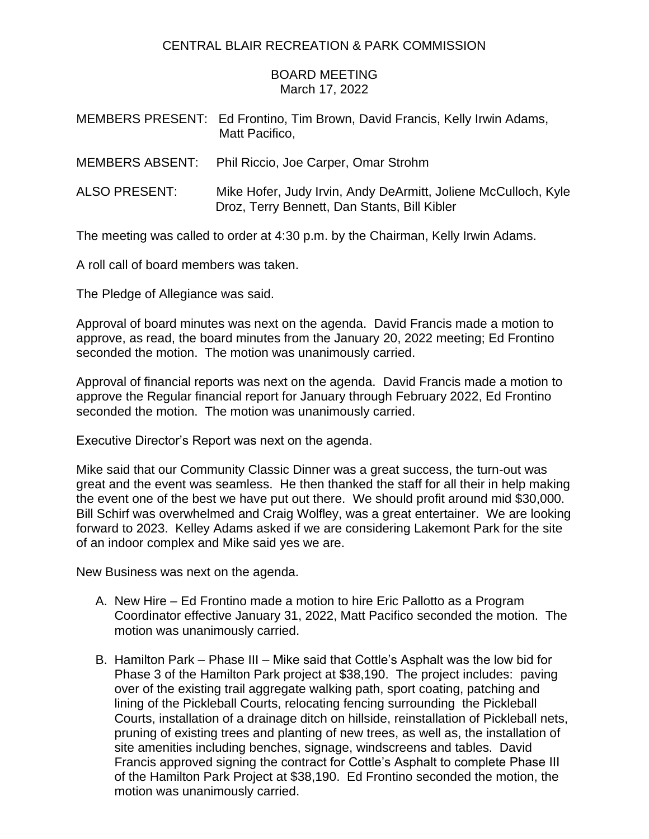## CENTRAL BLAIR RECREATION & PARK COMMISSION

## BOARD MEETING March 17, 2022

|                      | MEMBERS PRESENT: Ed Frontino, Tim Brown, David Francis, Kelly Irwin Adams,<br>Matt Pacifico,                   |
|----------------------|----------------------------------------------------------------------------------------------------------------|
|                      | MEMBERS ABSENT: Phil Riccio, Joe Carper, Omar Strohm                                                           |
| <b>ALSO PRESENT:</b> | Mike Hofer, Judy Irvin, Andy DeArmitt, Joliene McCulloch, Kyle<br>Droz, Terry Bennett, Dan Stants, Bill Kibler |

The meeting was called to order at 4:30 p.m. by the Chairman, Kelly Irwin Adams.

A roll call of board members was taken.

The Pledge of Allegiance was said.

Approval of board minutes was next on the agenda. David Francis made a motion to approve, as read, the board minutes from the January 20, 2022 meeting; Ed Frontino seconded the motion. The motion was unanimously carried.

Approval of financial reports was next on the agenda. David Francis made a motion to approve the Regular financial report for January through February 2022, Ed Frontino seconded the motion. The motion was unanimously carried.

Executive Director's Report was next on the agenda.

Mike said that our Community Classic Dinner was a great success, the turn-out was great and the event was seamless. He then thanked the staff for all their in help making the event one of the best we have put out there. We should profit around mid \$30,000. Bill Schirf was overwhelmed and Craig Wolfley, was a great entertainer. We are looking forward to 2023. Kelley Adams asked if we are considering Lakemont Park for the site of an indoor complex and Mike said yes we are.

New Business was next on the agenda.

- A. New Hire Ed Frontino made a motion to hire Eric Pallotto as a Program Coordinator effective January 31, 2022, Matt Pacifico seconded the motion. The motion was unanimously carried.
- B. Hamilton Park Phase III Mike said that Cottle's Asphalt was the low bid for Phase 3 of the Hamilton Park project at \$38,190. The project includes: paving over of the existing trail aggregate walking path, sport coating, patching and lining of the Pickleball Courts, relocating fencing surrounding the Pickleball Courts, installation of a drainage ditch on hillside, reinstallation of Pickleball nets, pruning of existing trees and planting of new trees, as well as, the installation of site amenities including benches, signage, windscreens and tables. David Francis approved signing the contract for Cottle's Asphalt to complete Phase III of the Hamilton Park Project at \$38,190. Ed Frontino seconded the motion, the motion was unanimously carried.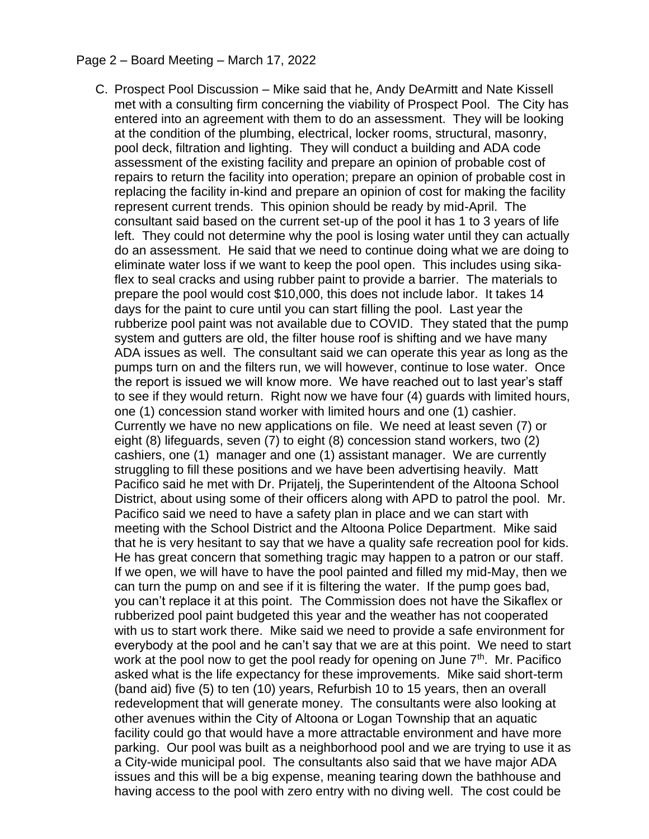## Page 2 – Board Meeting – March 17, 2022

C. Prospect Pool Discussion – Mike said that he, Andy DeArmitt and Nate Kissell met with a consulting firm concerning the viability of Prospect Pool. The City has entered into an agreement with them to do an assessment. They will be looking at the condition of the plumbing, electrical, locker rooms, structural, masonry, pool deck, filtration and lighting. They will conduct a building and ADA code assessment of the existing facility and prepare an opinion of probable cost of repairs to return the facility into operation; prepare an opinion of probable cost in replacing the facility in-kind and prepare an opinion of cost for making the facility represent current trends. This opinion should be ready by mid-April. The consultant said based on the current set-up of the pool it has 1 to 3 years of life left. They could not determine why the pool is losing water until they can actually do an assessment. He said that we need to continue doing what we are doing to eliminate water loss if we want to keep the pool open. This includes using sikaflex to seal cracks and using rubber paint to provide a barrier. The materials to prepare the pool would cost \$10,000, this does not include labor. It takes 14 days for the paint to cure until you can start filling the pool. Last year the rubberize pool paint was not available due to COVID. They stated that the pump system and gutters are old, the filter house roof is shifting and we have many ADA issues as well. The consultant said we can operate this year as long as the pumps turn on and the filters run, we will however, continue to lose water. Once the report is issued we will know more. We have reached out to last year's staff to see if they would return. Right now we have four (4) guards with limited hours, one (1) concession stand worker with limited hours and one (1) cashier. Currently we have no new applications on file. We need at least seven (7) or eight (8) lifeguards, seven (7) to eight (8) concession stand workers, two (2) cashiers, one (1) manager and one (1) assistant manager. We are currently struggling to fill these positions and we have been advertising heavily. Matt Pacifico said he met with Dr. Prijatelj, the Superintendent of the Altoona School District, about using some of their officers along with APD to patrol the pool. Mr. Pacifico said we need to have a safety plan in place and we can start with meeting with the School District and the Altoona Police Department. Mike said that he is very hesitant to say that we have a quality safe recreation pool for kids. He has great concern that something tragic may happen to a patron or our staff. If we open, we will have to have the pool painted and filled my mid-May, then we can turn the pump on and see if it is filtering the water. If the pump goes bad, you can't replace it at this point. The Commission does not have the Sikaflex or rubberized pool paint budgeted this year and the weather has not cooperated with us to start work there. Mike said we need to provide a safe environment for everybody at the pool and he can't say that we are at this point. We need to start work at the pool now to get the pool ready for opening on June  $7<sup>th</sup>$ . Mr. Pacifico asked what is the life expectancy for these improvements. Mike said short-term (band aid) five (5) to ten (10) years, Refurbish 10 to 15 years, then an overall redevelopment that will generate money. The consultants were also looking at other avenues within the City of Altoona or Logan Township that an aquatic facility could go that would have a more attractable environment and have more parking. Our pool was built as a neighborhood pool and we are trying to use it as a City-wide municipal pool. The consultants also said that we have major ADA issues and this will be a big expense, meaning tearing down the bathhouse and having access to the pool with zero entry with no diving well. The cost could be